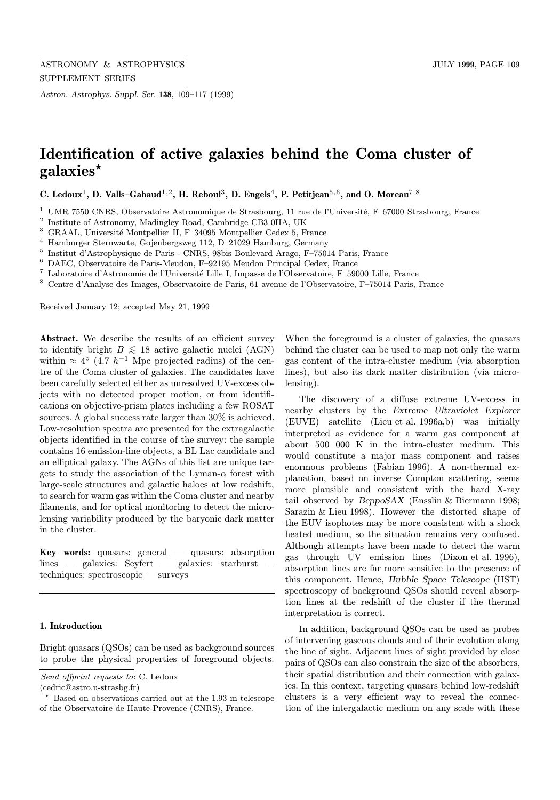Astron. Astrophys. Suppl. Ser. 138, 109–117 (1999)

# Identification of active galaxies behind the Coma cluster of galaxies?

C. Ledoux<sup>1</sup>, D. Valls–Gabaud<sup>1,2</sup>, H. Reboul<sup>3</sup>, D. Engels<sup>4</sup>, P. Petitiean<sup>5,6</sup>, and O. Moreau<sup>7,8</sup>

- $1$  UMR 7550 CNRS, Observatoire Astronomique de Strasbourg, 11 rue de l'Université, F–67000 Strasbourg, France
- <sup>2</sup> Institute of Astronomy, Madingley Road, Cambridge CB3 0HA, UK
- $3$  GRAAL, Université Montpellier II, F–34095 Montpellier Cedex 5, France
- <sup>4</sup> Hamburger Sternwarte, Gojenbergsweg 112, D–21029 Hamburg, Germany
- <sup>5</sup> Institut d'Astrophysique de Paris CNRS, 98bis Boulevard Arago, F–75014 Paris, France
- <sup>6</sup> DAEC, Observatoire de Paris-Meudon, F–92195 Meudon Principal Cedex, France
- $^7\,$  Laboratoire d'Astronomie de l'Université Lille I, Impasse de l'Observatoire, F–59000 Lille, France
- <sup>8</sup> Centre d'Analyse des Images, Observatoire de Paris, 61 avenue de l'Observatoire, F–75014 Paris, France

Received January 12; accepted May 21, 1999

Abstract. We describe the results of an efficient survey to identify bright  $B \le 18$  active galactic nuclei (AGN) within  $\approx 4^{\circ}$  (4.7 h<sup>-1</sup> Mpc projected radius) of the centre of the Coma cluster of galaxies. The candidates have been carefully selected either as unresolved UV-excess objects with no detected proper motion, or from identifications on objective-prism plates including a few ROSAT sources. A global success rate larger than 30% is achieved. Low-resolution spectra are presented for the extragalactic objects identified in the course of the survey: the sample contains 16 emission-line objects, a BL Lac candidate and an elliptical galaxy. The AGNs of this list are unique targets to study the association of the Lyman- $\alpha$  forest with large-scale structures and galactic haloes at low redshift, to search for warm gas within the Coma cluster and nearby filaments, and for optical monitoring to detect the microlensing variability produced by the baryonic dark matter in the cluster.

Key words: quasars: general — quasars: absorption  $lines$   $-$  galaxies: Seyfert  $-$  galaxies: starburst techniques: spectroscopic — surveys

#### 1. Introduction

Bright quasars (QSOs) can be used as background sources to probe the physical properties of foreground objects.

(cedric@astro.u-strasbg.fr)

When the foreground is a cluster of galaxies, the quasars behind the cluster can be used to map not only the warm gas content of the intra-cluster medium (via absorption lines), but also its dark matter distribution (via microlensing).

The discovery of a diffuse extreme UV-excess in nearby clusters by the Extreme Ultraviolet Explorer (EUVE) satellite (Lieu et al. 1996a,b) was initially interpreted as evidence for a warm gas component at about 500 000 K in the intra-cluster medium. This would constitute a major mass component and raises enormous problems (Fabian 1996). A non-thermal explanation, based on inverse Compton scattering, seems more plausible and consistent with the hard X-ray tail observed by BeppoSAX (Ensslin & Biermann 1998; Sarazin & Lieu 1998). However the distorted shape of the EUV isophotes may be more consistent with a shock heated medium, so the situation remains very confused. Although attempts have been made to detect the warm gas through UV emission lines (Dixon et al. 1996), absorption lines are far more sensitive to the presence of this component. Hence, Hubble Space Telescope (HST) spectroscopy of background QSOs should reveal absorption lines at the redshift of the cluster if the thermal interpretation is correct.

In addition, background QSOs can be used as probes of intervening gaseous clouds and of their evolution along the line of sight. Adjacent lines of sight provided by close pairs of QSOs can also constrain the size of the absorbers, their spatial distribution and their connection with galaxies. In this context, targeting quasars behind low-redshift clusters is a very efficient way to reveal the connection of the intergalactic medium on any scale with these

Send offprint requests to: C. Ledoux

<sup>?</sup> Based on observations carried out at the 1.93 m telescope of the Observatoire de Haute-Provence (CNRS), France.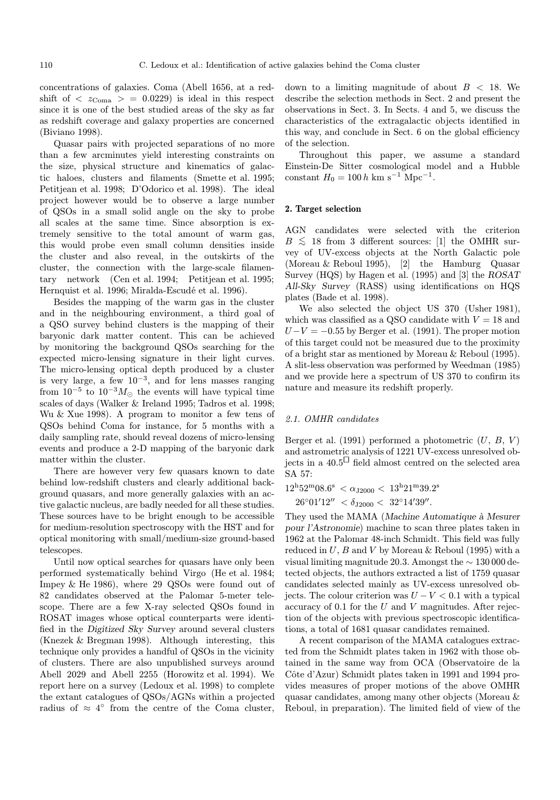concentrations of galaxies. Coma (Abell 1656, at a redshift of  $\langle z_{\text{Coma}} \rangle = 0.0229$  is ideal in this respect since it is one of the best studied areas of the sky as far as redshift coverage and galaxy properties are concerned (Biviano 1998).

Quasar pairs with projected separations of no more than a few arcminutes yield interesting constraints on the size, physical structure and kinematics of galactic haloes, clusters and filaments (Smette et al. 1995; Petitjean et al. 1998; D'Odorico et al. 1998). The ideal project however would be to observe a large number of QSOs in a small solid angle on the sky to probe all scales at the same time. Since absorption is extremely sensitive to the total amount of warm gas, this would probe even small column densities inside the cluster and also reveal, in the outskirts of the cluster, the connection with the large-scale filamentary network (Cen et al. 1994; Petitjean et al. 1995; Hernquist et al. 1996; Miralda-Escudé et al. 1996).

Besides the mapping of the warm gas in the cluster and in the neighbouring environment, a third goal of a QSO survey behind clusters is the mapping of their baryonic dark matter content. This can be achieved by monitoring the background QSOs searching for the expected micro-lensing signature in their light curves. The micro-lensing optical depth produced by a cluster is very large, a few  $10^{-3}$ , and for lens masses ranging from  $10^{-5}$  to  $10^{-3} M_{\odot}$  the events will have typical time scales of days (Walker & Ireland 1995; Tadros et al. 1998; Wu & Xue 1998). A program to monitor a few tens of QSOs behind Coma for instance, for 5 months with a daily sampling rate, should reveal dozens of micro-lensing events and produce a 2-D mapping of the baryonic dark matter within the cluster.

There are however very few quasars known to date behind low-redshift clusters and clearly additional background quasars, and more generally galaxies with an active galactic nucleus, are badly needed for all these studies. These sources have to be bright enough to be accessible for medium-resolution spectroscopy with the HST and for optical monitoring with small/medium-size ground-based telescopes.

Until now optical searches for quasars have only been performed systematically behind Virgo (He et al. 1984; Impey & He 1986), where 29 QSOs were found out of 82 candidates observed at the Palomar 5-meter telescope. There are a few X-ray selected QSOs found in ROSAT images whose optical counterparts were identified in the Digitized Sky Survey around several clusters (Knezek & Bregman 1998). Although interesting, this technique only provides a handful of QSOs in the vicinity of clusters. There are also unpublished surveys around Abell 2029 and Abell 2255 (Horowitz et al. 1994). We report here on a survey (Ledoux et al. 1998) to complete the extant catalogues of QSOs/AGNs within a projected radius of  $\approx 4^{\circ}$  from the centre of the Coma cluster,

down to a limiting magnitude of about  $B < 18$ . We describe the selection methods in Sect. 2 and present the observations in Sect. 3. In Sects. 4 and 5, we discuss the characteristics of the extragalactic objects identified in this way, and conclude in Sect. 6 on the global efficiency of the selection.

Throughout this paper, we assume a standard Einstein-De Sitter cosmological model and a Hubble constant  $H_0 = 100 h \text{ km s}^{-1} \text{ Mpc}^{-1}$ .

## 2. Target selection

AGN candidates were selected with the criterion  $B\leq 18$  from 3 different sources: [1] the OMHR survey of UV-excess objects at the North Galactic pole (Moreau & Reboul 1995), [2] the Hamburg Quasar Survey (HQS) by Hagen et al. (1995) and [3] the ROSAT All-Sky Survey (RASS) using identifications on HQS plates (Bade et al. 1998).

We also selected the object US 370 (Usher 1981), which was classified as a QSO candidate with  $V = 18$  and  $U-V = -0.55$  by Berger et al. (1991). The proper motion of this target could not be measured due to the proximity of a bright star as mentioned by Moreau & Reboul (1995). A slit-less observation was performed by Weedman (1985) and we provide here a spectrum of US 370 to confirm its nature and measure its redshift properly.

# 2.1. OMHR candidates

Berger et al. (1991) performed a photometric  $(U, B, V)$ and astrometric analysis of 1221 UV-excess unresolved objects in a 40.5<sup> $\Box$ </sup> field almost centred on the selected area SA 57:

$$
12^{\mathrm{h}}52^{\mathrm{m}}08.6^{\mathrm{s}} < \alpha_{\mathrm{J}2000} < 13^{\mathrm{h}}21^{\mathrm{m}}39.2^{\mathrm{s}}
$$

 $26^{\circ}01'12'' < \delta_{J2000} < 32^{\circ}14'39''.$ 

They used the MAMA (Machine Automatique à Mesurer pour l'Astronomie) machine to scan three plates taken in 1962 at the Palomar 48-inch Schmidt. This field was fully reduced in  $U, B$  and  $V$  by Moreau & Reboul (1995) with a visual limiting magnitude 20.3. Amongst the ∼ 130 000 detected objects, the authors extracted a list of 1759 quasar candidates selected mainly as UV-excess unresolved objects. The colour criterion was  $U - V < 0.1$  with a typical accuracy of 0.1 for the  $U$  and  $V$  magnitudes. After rejection of the objects with previous spectroscopic identifications, a total of 1681 quasar candidates remained.

A recent comparison of the MAMA catalogues extracted from the Schmidt plates taken in 1962 with those obtained in the same way from OCA (Observatoire de la Côte d'Azur) Schmidt plates taken in 1991 and 1994 provides measures of proper motions of the above OMHR quasar candidates, among many other objects (Moreau & Reboul, in preparation). The limited field of view of the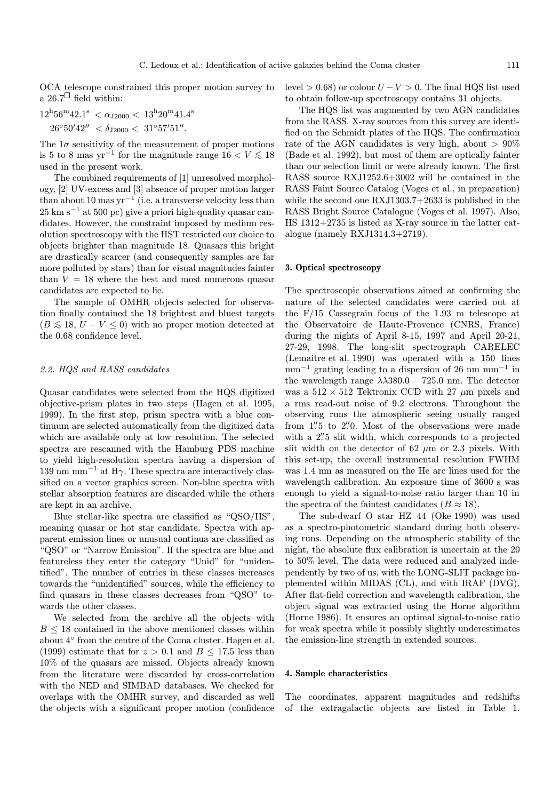OCA telescope constrained this proper motion survey to a  $26.7^{\square}$  field within:

 $12^{\rm h}56^{\rm m}42.1^{\rm s} < \alpha_{\rm J2000} < 13^{\rm h}20^{\rm m}41.4^{\rm s}$  $26°50'42'' < \delta_{J2000} < 31°57'51''.$ 

The  $1\sigma$  sensitivity of the measurement of proper motions is 5 to 8 mas yr<sup>-1</sup> for the magnitude range  $16 < V \le 18$ used in the present work.

The combined requirements of [1] unresolved morphology, [2] UV-excess and [3] absence of proper motion larger than about 10 mas  $yr^{-1}$  (i.e. a transverse velocity less than  $25 \text{ km s}^{-1}$  at 500 pc) give a priori high-quality quasar candidates. However, the constraint imposed by medium resolution spectroscopy with the HST restricted our choice to objects brighter than magnitude 18. Quasars this bright are drastically scarcer (and consequently samples are far more polluted by stars) than for visual magnitudes fainter than  $V = 18$  where the best and most numerous quasar candidates are expected to lie.

The sample of OMHR objects selected for observation finally contained the 18 brightest and bluest targets  $(B \leq 18, U - V \leq 0)$  with no proper motion detected at the 0.68 confidence level.

# 2.2. HQS and RASS candidates

Quasar candidates were selected from the HQS digitized objective-prism plates in two steps (Hagen et al. 1995, 1999). In the first step, prism spectra with a blue continuum are selected automatically from the digitized data which are available only at low resolution. The selected spectra are rescanned with the Hamburg PDS machine to yield high-resolution spectra having a dispersion of 139 nm mm<sup> $-1$ </sup> at H $\gamma$ . These spectra are interactively classified on a vector graphics screen. Non-blue spectra with stellar absorption features are discarded while the others are kept in an archive.

Blue stellar-like spectra are classified as "QSO/HS", meaning quasar or hot star candidate. Spectra with apparent emission lines or unusual continua are classified as "QSO" or "Narrow Emission". If the spectra are blue and featureless they enter the category "Unid" for "unidentified". The number of entries in these classes increases towards the "unidentified" sources, while the efficiency to find quasars in these classes decreases from "QSO" towards the other classes.

We selected from the archive all the objects with  $B \leq 18$  contained in the above mentioned classes within about 4◦ from the centre of the Coma cluster. Hagen et al. (1999) estimate that for  $z > 0.1$  and  $B \le 17.5$  less than 10% of the quasars are missed. Objects already known from the literature were discarded by cross-correlation with the NED and SIMBAD databases. We checked for overlaps with the OMHR survey, and discarded as well the objects with a significant proper motion (confidence level > 0.68) or colour  $U - V > 0$ . The final HQS list used to obtain follow-up spectroscopy contains 31 objects.

The HQS list was augmented by two AGN candidates from the RASS. X-ray sources from this survey are identified on the Schmidt plates of the HQS. The confirmation rate of the AGN candidates is very high, about  $> 90\%$ (Bade et al. 1992), but most of them are optically fainter than our selection limit or were already known. The first RASS source RXJ1252.6+3002 will be contained in the RASS Faint Source Catalog (Voges et al., in preparation) while the second one RXJ1303.7+2633 is published in the RASS Bright Source Catalogue (Voges et al. 1997). Also, HS 1312+2735 is listed as X-ray source in the latter catalogue (namely RXJ1314.3+2719).

#### 3. Optical spectroscopy

The spectroscopic observations aimed at confirming the nature of the selected candidates were carried out at the F/15 Cassegrain focus of the 1.93 m telescope at the Observatoire de Haute-Provence (CNRS, France) during the nights of April 8-15, 1997 and April 20-21, 27-29, 1998. The long-slit spectrograph CARELEC (Lemaitre et al. 1990) was operated with a 150 lines  $mm^{-1}$  grating leading to a dispersion of 26 nm mm<sup>-1</sup> in the wavelength range  $\lambda \lambda 380.0 - 725.0$  nm. The detector was a  $512 \times 512$  Tektronix CCD with 27  $\mu$ m pixels and a rms read-out noise of 9.2 electrons. Throughout the observing runs the atmospheric seeing usually ranged from 1" to 2".00 Most of the observations were made with a 2"5 slit width, which corresponds to a projected slit width on the detector of 62  $\mu$ m or 2.3 pixels. With this set-up, the overall instrumental resolution FWHM was 1.4 nm as measured on the He arc lines used for the wavelength calibration. An exposure time of 3600 s was enough to yield a signal-to-noise ratio larger than 10 in the spectra of the faintest candidates ( $B \approx 18$ ).

The sub-dwarf O star HZ 44 (Oke 1990) was used as a spectro-photometric standard during both observing runs. Depending on the atmospheric stability of the night, the absolute flux calibration is uncertain at the 20 to 50% level. The data were reduced and analyzed independently by two of us, with the LONG-SLIT package implemented within MIDAS (CL), and with IRAF (DVG). After flat-field correction and wavelength calibration, the object signal was extracted using the Horne algorithm (Horne 1986). It ensures an optimal signal-to-noise ratio for weak spectra while it possibly slightly underestimates the emission-line strength in extended sources.

# 4. Sample characteristics

The coordinates, apparent magnitudes and redshifts of the extragalactic objects are listed in Table 1.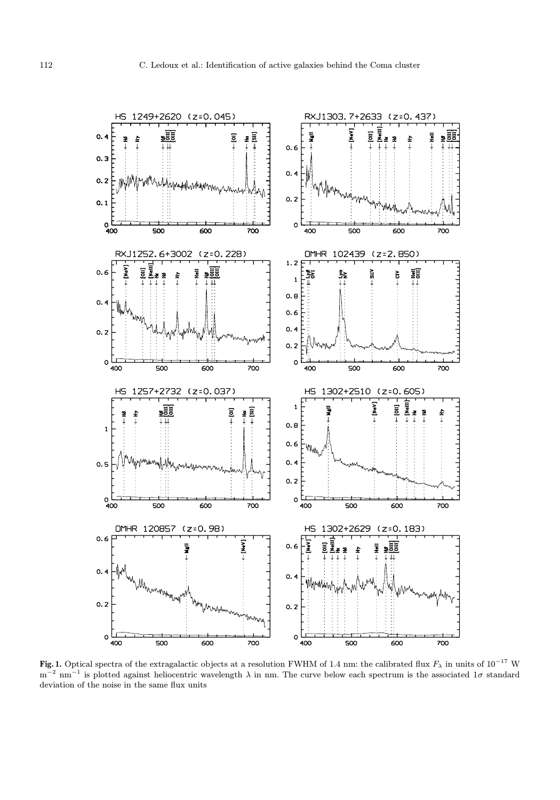

Fig. 1. Optical spectra of the extragalactic objects at a resolution FWHM of 1.4 nm: the calibrated flux  $F_\lambda$  in units of 10<sup>−17</sup> W  $m^{-2}$  nm<sup>-1</sup> is plotted against heliocentric wavelength  $\lambda$  in nm. The curve below each spectrum is the associated 1 $\sigma$  standard deviation of the noise in the same flux units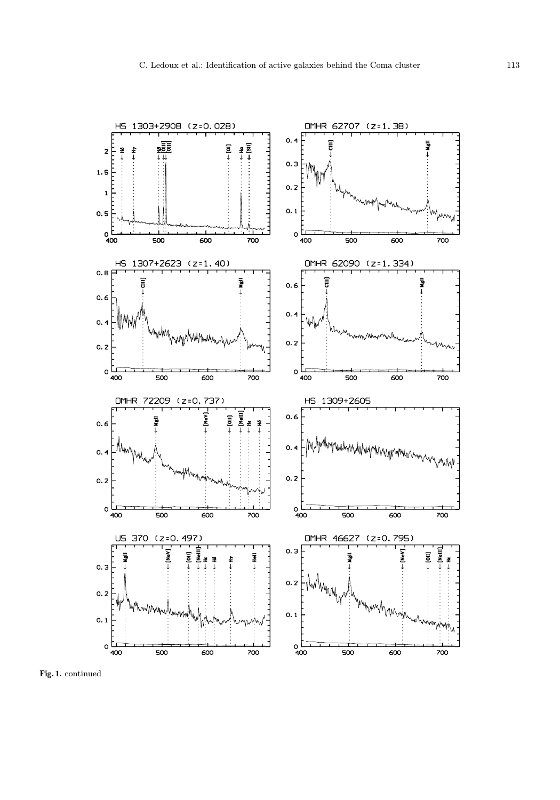

Fig. 1. continued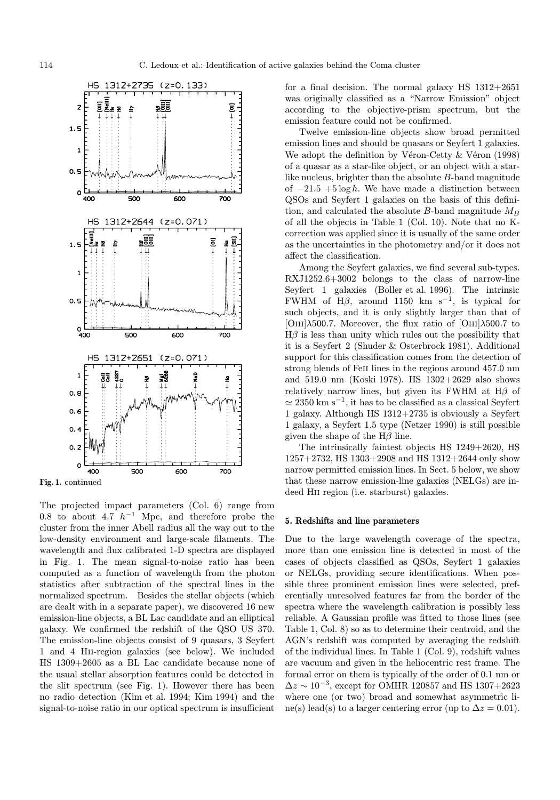

The projected impact parameters (Col. 6) range from 0.8 to about 4.7  $h^{-1}$  Mpc, and therefore probe the cluster from the inner Abell radius all the way out to the low-density environment and large-scale filaments. The wavelength and flux calibrated 1-D spectra are displayed in Fig. 1. The mean signal-to-noise ratio has been computed as a function of wavelength from the photon statistics after subtraction of the spectral lines in the normalized spectrum. Besides the stellar objects (which are dealt with in a separate paper), we discovered 16 new emission-line objects, a BL Lac candidate and an elliptical galaxy. We confirmed the redshift of the QSO US 370. The emission-line objects consist of 9 quasars, 3 Seyfert 1 and 4 Hii-region galaxies (see below). We included HS 1309+2605 as a BL Lac candidate because none of the usual stellar absorption features could be detected in the slit spectrum (see Fig. 1). However there has been no radio detection (Kim et al. 1994; Kim 1994) and the signal-to-noise ratio in our optical spectrum is insufficient

for a final decision. The normal galaxy HS 1312+2651 was originally classified as a "Narrow Emission" object according to the objective-prism spectrum, but the emission feature could not be confirmed.

Twelve emission-line objects show broad permitted emission lines and should be quasars or Seyfert 1 galaxies. We adopt the definition by Véron-Cetty  $&$  Véron (1998) of a quasar as a star-like object, or an object with a starlike nucleus, brighter than the absolute B-band magnitude of  $-21.5 + 5 \log h$ . We have made a distinction between QSOs and Seyfert 1 galaxies on the basis of this definition, and calculated the absolute B-band magnitude  $M_B$ of all the objects in Table 1 (Col. 10). Note that no Kcorrection was applied since it is usually of the same order as the uncertainties in the photometry and/or it does not affect the classification.

Among the Seyfert galaxies, we find several sub-types. RXJ1252.6+3002 belongs to the class of narrow-line Seyfert 1 galaxies (Boller et al. 1996). The intrinsic FWHM of H $\beta$ , around 1150 km s<sup>-1</sup>, is typical for such objects, and it is only slightly larger than that of [OIII] $\lambda$ 500.7. Moreover, the flux ratio of [OIII] $\lambda$ 500.7 to  $H\beta$  is less than unity which rules out the possibility that it is a Seyfert 2 (Shuder & Osterbrock 1981). Additional support for this classification comes from the detection of strong blends of Feii lines in the regions around 457.0 nm and 519.0 nm (Koski 1978). HS 1302+2629 also shows relatively narrow lines, but given its FWHM at  $H\beta$  of  $\simeq 2350 \text{ km s}^{-1}$ , it has to be classified as a classical Seyfert 1 galaxy. Although HS 1312+2735 is obviously a Seyfert 1 galaxy, a Seyfert 1.5 type (Netzer 1990) is still possible given the shape of the  $H\beta$  line.

The intrinsically faintest objects HS 1249+2620, HS 1257+2732, HS 1303+2908 and HS 1312+2644 only show narrow permitted emission lines. In Sect. 5 below, we show that these narrow emission-line galaxies (NELGs) are indeed Hii region (i.e. starburst) galaxies.

## 5. Redshifts and line parameters

Due to the large wavelength coverage of the spectra, more than one emission line is detected in most of the cases of objects classified as QSOs, Seyfert 1 galaxies or NELGs, providing secure identifications. When possible three prominent emission lines were selected, preferentially unresolved features far from the border of the spectra where the wavelength calibration is possibly less reliable. A Gaussian profile was fitted to those lines (see Table 1, Col. 8) so as to determine their centroid, and the AGN's redshift was computed by averaging the redshift of the individual lines. In Table 1 (Col. 9), redshift values are vacuum and given in the heliocentric rest frame. The formal error on them is typically of the order of 0.1 nm or  $\Delta z \sim 10^{-3}$ , except for OMHR 120857 and HS 1307+2623 where one (or two) broad and somewhat asymmetric line(s) lead(s) to a larger centering error (up to  $\Delta z = 0.01$ ).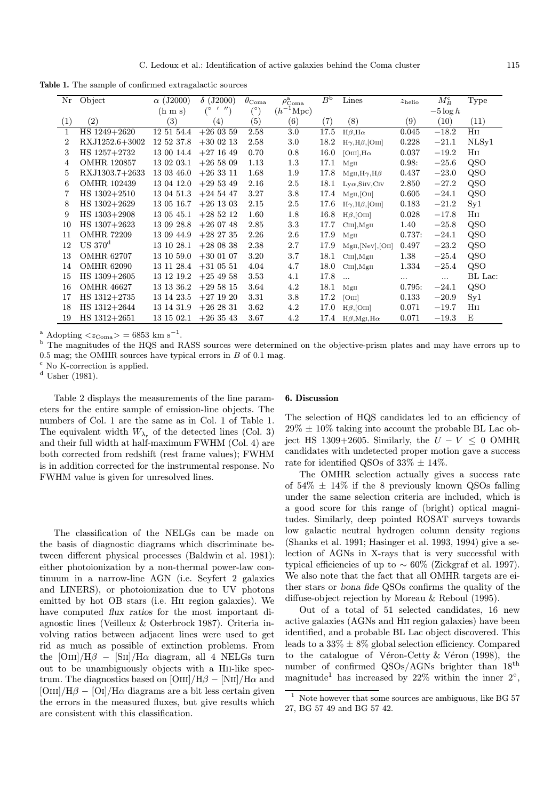Table 1. The sample of confirmed extragalactic sources

| Nr           | Object             | $\alpha$ (J2000)    | $\delta$ (J2000)          | $\theta_{\rm Coma}$ | $\rho_{\rm Coma}^{\rm a}$ | $B^{\rm b}$ | Lines                      | $z_{\rm helio}$   | $M_B^{\rm c}$ | <b>Type</b>  |
|--------------|--------------------|---------------------|---------------------------|---------------------|---------------------------|-------------|----------------------------|-------------------|---------------|--------------|
|              |                    | $(h \, \text{m s})$ | $^{\prime\prime}$ )<br>(° | $(^\circ)$          | $(h^{-1}\text{Mpc})$      |             |                            |                   | $-5 \log h$   |              |
| (1)          | $\left( 2\right)$  | (3)                 | $\left( 4\right)$         | (5)                 | $\left( 6\right)$         | (7)         | (8)                        | $\left( 9\right)$ | (10)          | (11)         |
| $\mathbf{1}$ | HS 1249+2620       | 12 51 54.4          | $+260359$                 | 2.58                | 3.0                       | 17.5        | $H\beta$ , $H\alpha$       | 0.045             | $-18.2$       | $_{\rm HII}$ |
| 2            | RXJ1252.6+3002     | 12 52 37.8          | $+300213$                 | 2.58                | 3.0                       | 18.2        | $H\gamma, H\beta$ , [OIII] | 0.228             | $-21.1$       | NLSy1        |
| 3            | HS 1257+2732       | 13 00 14.4          | $+271649$                 | 0.70                | 0.8                       | 16.0        | [OIII], $H\alpha$          | 0.037             | $-19.2\,$     | Ηп           |
| 4            | <b>OMHR 120857</b> | 13 02 03.1          | $+265809$                 | 1.13                | 1.3                       | 17.1        | MgII                       | 0.98:             | $-25.6$       | QSO          |
| 5            | RXJ1303.7+2633     | 13 03 46.0          | $+263311$                 | 1.68                | 1.9                       | 17.8        | $MgII, H\gamma, H\beta$    | 0.437             | $-23.0$       | QSO          |
| 6            | <b>OMHR 102439</b> | 13 04 12.0          | $+295349$                 | 2.16                | 2.5                       | 18.1        | $Ly\alpha$ , SiIV, CIV     | 2.850             | $-27.2$       | QSO          |
|              | $HS$ 1302+2510     | 13 04 51.3          | $+245447$                 | 3.27                | 3.8                       | 17.4        | $MgII,$ [OII]              | 0.605             | $-24.1$       | QSO          |
| 8            | HS 1302+2629       | 13 05 16.7          | $+26$ 13 03               | 2.15                | 2.5                       | 17.6        | $H\gamma, H\beta$ , [OIII] | 0.183             | $-21.2$       | $S_{y1}$     |
| 9            | HS 1303+2908       | 13 05 45.1          | $+285212$                 | 1.60                | 1.8                       | 16.8        | $H\beta$ , [OIII]          | 0.028             | $-17.8$       | Ηп           |
| 10           | $HS$ 1307+2623     | 13 09 28.8          | $+260748$                 | 2.85                | 3.3                       | 17.7        | $CIII$ , MgII              | 1.40              | $-25.8$       | QSO          |
| 11           | <b>OMHR 72209</b>  | 13 09 44.9          | $+28\;27\;35$             | 2.26                | $2.6\,$                   | 17.9        | MgII                       | 0.737:            | $-24.1$       | QSO          |
| 12           | $US 370^d$         | 13 10 28.1          | $+280838$                 | 2.38                | 2.7                       | 17.9        | $MgII,$ [Nev],[OII]        | 0.497             | $-23.2$       | QSO          |
| 13           | <b>OMHR 62707</b>  | 13 10 59.0          | $+300107$                 | 3.20                | 3.7                       | 18.1        | $CIII$ , MgII              | 1.38              | $-25.4$       | QSO          |
| 14           | <b>OMHR 62090</b>  | 13 11 28.4          | $+310551$                 | 4.04                | 4.7                       | 18.0        | $CIII$ , MgII              | 1.334             | $-25.4$       | QSO          |
| 15           | HS 1309+2605       | 13 12 19.2          | $+254958$                 | 3.53                | 4.1                       | 17.8        | $\ddotsc$                  | $\cdots$          | $\cdots$      | BL Lac:      |
| 16           | <b>OMHR 46627</b>  | 13 13 36.2          | $+295815$                 | 3.64                | 4.2                       | 18.1        | MgII                       | 0.795:            | $-24.1$       | QSO          |
| 17           | $HS$ 1312+2735     | 13 14 23.5          | $+271920$                 | 3.31                | 3.8                       | 17.2        | [OIII]                     | 0.133             | $-20.9$       | $S_{y1}$     |
| 18           | HS 1312+2644       | 13 14 31.9          | $+262831$                 | 3.62                | 4.2                       | 17.0        | $H\beta$ , [OIII]          | 0.071             | $-19.7$       | $_{\rm HII}$ |
| 19           | $HS$ 1312+2651     | 13 15 02.1          | $+263543$                 | 3.67                | 4.2                       | 17.4        | $H\beta$ , MgI, H $\alpha$ | 0.071             | $-19.3$       | E            |

<sup>a</sup> Adopting  $\langle z_{\text{Coma}} \rangle = 6853 \text{ km s}^{-1}$ .

<sup>b</sup> The magnitudes of the HQS and RASS sources were determined on the objective-prism plates and may have errors up to 0.5 mag; the OMHR sources have typical errors in  $B$  of 0.1 mag.

<sup>c</sup> No K-correction is applied.

<sup>d</sup> Usher (1981).

Table 2 displays the measurements of the line parameters for the entire sample of emission-line objects. The numbers of Col. 1 are the same as in Col. 1 of Table 1. The equivalent width  $W_{\lambda_r}$  of the detected lines (Col. 3) and their full width at half-maximum FWHM (Col. 4) are both corrected from redshift (rest frame values); FWHM is in addition corrected for the instrumental response. No FWHM value is given for unresolved lines.

The classification of the NELGs can be made on the basis of diagnostic diagrams which discriminate between different physical processes (Baldwin et al. 1981): either photoionization by a non-thermal power-law continuum in a narrow-line AGN (i.e. Seyfert 2 galaxies and LINERS), or photoionization due to UV photons emitted by hot OB stars (i.e. Hii region galaxies). We have computed flux ratios for the most important diagnostic lines (Veilleux & Osterbrock 1987). Criteria involving ratios between adjacent lines were used to get rid as much as possible of extinction problems. From the  $\text{[OIII]/H}\beta - \text{[SII]/H}\alpha$  diagram, all 4 NELGs turn out to be unambiguously objects with a Hii-like spectrum. The diagnostics based on [OIII]/H $\beta$  – [NII]/H $\alpha$  and  $\text{[OIII]/H}\beta - \text{[OII]/H}\alpha$  diagrams are a bit less certain given the errors in the measured fluxes, but give results which are consistent with this classification.

# 6. Discussion

The selection of HQS candidates led to an efficiency of  $29\% \pm 10\%$  taking into account the probable BL Lac object HS 1309+2605. Similarly, the  $U - V \leq 0$  OMHR candidates with undetected proper motion gave a success rate for identified QSOs of  $33\% \pm 14\%$ .

The OMHR selection actually gives a success rate of  $54\% \pm 14\%$  if the 8 previously known QSOs falling under the same selection criteria are included, which is a good score for this range of (bright) optical magnitudes. Similarly, deep pointed ROSAT surveys towards low galactic neutral hydrogen column density regions (Shanks et al. 1991; Hasinger et al. 1993, 1994) give a selection of AGNs in X-rays that is very successful with typical efficiencies of up to  $\sim 60\%$  (Zickgraf et al. 1997). We also note that the fact that all OMHR targets are either stars or bona fide QSOs confirms the quality of the diffuse-object rejection by Moreau & Reboul (1995).

Out of a total of 51 selected candidates, 16 new active galaxies (AGNs and Hii region galaxies) have been identified, and a probable BL Lac object discovered. This leads to a  $33\% \pm 8\%$  global selection efficiency. Compared to the catalogue of Véron-Cetty  $&$  Véron (1998), the number of confirmed QSOs/AGNs brighter than 18th magnitude<sup>1</sup> has increased by 22% within the inner 2<sup>°</sup>,

 $^{\rm 1}$  Note however that some sources are ambiguous, like BG 57 27, BG 57 49 and BG 57 42.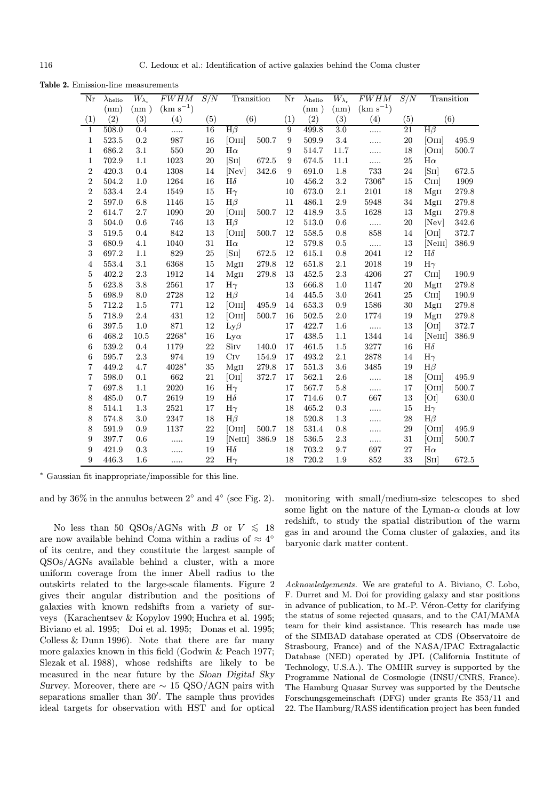Table 2. Emission-line measurements

| Nr                      | $\lambda_{\rm helio}$ | $\overline{W_{\lambda}}_{\rm r}$ | $FWHM$ $S/N$  |        | Transition          |       | Nr               | $\lambda_{\rm helio}$ | $\overline{W_{\lambda_{\mathbf{r}}}}$ | FWHM          | S/N    | Transition |             |
|-------------------------|-----------------------|----------------------------------|---------------|--------|---------------------|-------|------------------|-----------------------|---------------------------------------|---------------|--------|------------|-------------|
|                         | (nm)                  | (nm)                             | $(km s^{-1})$ |        |                     |       |                  | (nm)                  | (nm)                                  | $(km s^{-1})$ |        |            |             |
| (1)                     | (2)                   | (3)                              | (4)           | (5)    | (6)                 |       | (1)              | (2)                   | (3)                                   | (4)           | (5)    | (6)        |             |
| 1                       | 508.0                 | 0.4                              | .             | 16     | $H\beta$            |       | 9                | 499.8                 | 3.0                                   | .             | 21     | $H\beta$   |             |
| $\mathbf{1}$            | $523.5\,$             | $\rm 0.2$                        | 987           | 16     | [OIII]              | 500.7 | $\boldsymbol{9}$ | 509.9                 | 3.4                                   | .             | 20     | [OIII]     | $\rm 495.9$ |
| $\mathbf{1}$            | 686.2                 | 3.1                              | 550           | 20     | $H\alpha$           |       | 9                | 514.7                 | 11.7                                  | .             | 18     | [OIII]     | 500.7       |
| $\mathbf{1}$            | 702.9                 | 1.1                              | 1023          | 20     | [SII]               | 672.5 | $\boldsymbol{9}$ | 674.5                 | 11.1                                  | .             | 25     | $H\alpha$  |             |
| $\overline{2}$          | 420.3                 | 0.4                              | 1308          | 14     | [Nev]               | 342.6 | 9                | 691.0                 | 1.8                                   | 733           | 24     | [SII]      | $672.5\,$   |
| $\overline{2}$          | 504.2                 | 1.0                              | 1264          | 16     | $H\delta$           |       | 10               | 456.2                 | $\!3.2\!$                             | 7306*         | 15     | CIII       | 1909        |
| $\overline{2}$          | 533.4                 | 2.4                              | 1549          | 15     | $H\gamma$           |       | 10               | 673.0                 | 2.1                                   | 2101          | 18     | MgII       | 279.8       |
| $\overline{2}$          | 597.0                 | 6.8                              | 1146          | $15\,$ | $H\beta$            |       | 11               | 486.1                 | $2.9\,$                               | 5948          | 34     | MgII       | $279.8\,$   |
| $\overline{2}$          | 614.7                 | 2.7                              | 1090          | 20     | [OIII]              | 500.7 | 12               | 418.9                 | $3.5\,$                               | 1628          | 13     | MgII       | 279.8       |
| 3                       | 504.0                 | 0.6                              | 746           | 13     | $H\beta$            |       | 12               | 513.0                 | $0.6\,$                               | $\cdots$      | 20     | [NeV]      | 342.6       |
| 3                       | 519.5                 | 0.4                              | 842           | 13     | [OIII]              | 500.7 | 12               | 558.5                 | 0.8                                   | 858           | 14     | [OII]      | 372.7       |
| 3                       | 680.9                 | 4.1                              | 1040          | 31     | $H\alpha$           |       | 12               | 579.8                 | 0.5                                   | $\ldots$      | 13     | [NeIII]    | 386.9       |
| 3                       | 697.2                 | 1.1                              | 829           | $25\,$ | [SII]               | 672.5 | 12               | 615.1                 | 0.8                                   | 2041          | 12     | $H\delta$  |             |
| $\overline{4}$          | 553.4                 | 3.1                              | 6368          | 15     | MgII                | 279.8 | 12               | 651.8                 | 2.1                                   | 2018          | 19     | $H\gamma$  |             |
| $\bf 5$                 | 402.2                 | 2.3                              | 1912          | 14     | MgII                | 279.8 | 13               | 452.5                 | $2.3\,$                               | 4206          | 27     | CIII       | 190.9       |
| $\overline{5}$          | 623.8                 | $3.8\,$                          | 2561          | $17\,$ | $H\gamma$           |       | 13               | 666.8                 | $1.0\,$                               | 1147          | $20\,$ | MgII       | 279.8       |
| 5                       | 698.9                 | 8.0                              | 2728          | 12     | $H\beta$            |       | 14               | 445.5                 | 3.0                                   | 2641          | 25     | CIII       | 190.9       |
| 5                       | 712.2                 | 1.5                              | $771\,$       | 12     | [OIII]              | 495.9 | 14               | 653.3                 | 0.9                                   | 1586          | 30     | MgII       | 279.8       |
| $\bf 5$                 | 718.9                 | $2.4\,$                          | 431           | $12\,$ | [OIII]              | 500.7 | 16               | $502.5\,$             | $2.0\,$                               | 1774          | 19     | MgII       | $279.8\,$   |
| $\,6$                   | 397.5                 | 1.0                              | 871           | 12     | $Ly\beta$           |       | 17               | 422.7                 | 1.6                                   | $\cdots$      | 13     | [OII]      | 372.7       |
| $\,6$                   | 468.2                 | 10.5                             | 2268*         | 16     | $_{\rm Ly\alpha}$   |       | 17               | 438.5                 | 1.1                                   | 1344          | 14     | [NeIII]    | 386.9       |
| $\,6\,$                 | 539.2                 | 0.4                              | 1179          | 22     | Sirv                | 140.0 | 17               | 461.5                 | $1.5\,$                               | 3277          | 16     | $H\delta$  |             |
| $\,6\,$                 | 595.7                 | 2.3                              | 974           | 19     | $C_{IV}$            | 154.9 | 17               | 493.2                 | 2.1                                   | 2878          | 14     | $H\gamma$  |             |
| $\overline{\mathbf{7}}$ | 449.2                 | 4.7                              | $4028^\ast$   | $35\,$ | MgII                | 279.8 | 17               | $551.3\,$             | $3.6\,$                               | 3485          | 19     | $H\beta$   |             |
| 7                       | 598.0                 | 0.1                              | 662           | 21     | [OII]               | 372.7 | 17               | 562.1                 | $2.6\,$                               | .             | 18     | [OIII]     | 495.9       |
| $\overline{\mathbf{7}}$ | 697.8                 | 1.1                              | 2020          | 16     | $H\gamma$           |       | 17               | 567.7                 | $5.8\,$                               | .             | 17     | [OIII]     | 500.7       |
| $\,8\,$                 | 485.0                 | 0.7                              | 2619          | 19     | $H\delta$           |       | 17               | 714.6                 | $0.7\,$                               | 667           | 13     | [OI]       | 630.0       |
| 8                       | 514.1                 | 1.3                              | 2521          | 17     | $H\gamma$           |       | 18               | 465.2                 | $\rm 0.3$                             | .             | 15     | $H\gamma$  |             |
| $\,8\,$                 | 574.8                 | 3.0                              | 2347          | 18     | $H\beta$            |       | 18               | 520.8                 | $1.3\,$                               | .             | 28     | $H\beta$   |             |
| $\,8\,$                 | 591.9                 | 0.9                              | 1137          | 22     | [OIII]              | 500.7 | 18               | 531.4                 | $\rm 0.8$                             | .             | 29     | [OIII]     | 495.9       |
| 9                       | 397.7                 | 0.6                              | .             | 19     | [N <sub>eff</sub> ] | 386.9 | 18               | 536.5                 | $2.3\,$                               | .             | 31     | [OIII]     | 500.7       |
| 9                       | 421.9                 | 0.3                              | .             | 19     | $H\delta$           |       | 18               | 703.2                 | 9.7                                   | 697           | 27     | $H\alpha$  |             |
| 9                       | 446.3                 | 1.6                              | .             | 22     | $H\gamma$           |       | 18               | $720.2\,$             | 1.9                                   | 852           | 33     | [SII]      | 672.5       |

<sup>∗</sup> Gaussian fit inappropriate/impossible for this line.

and by  $36\%$  in the annulus between  $2°$  and  $4°$  (see Fig. 2).

No less than 50 QSOs/AGNs with B or  $V \le 18$ are now available behind Coma within a radius of  $\approx 4°$ of its centre, and they constitute the largest sample of QSOs/AGNs available behind a cluster, with a more uniform coverage from the inner Abell radius to the outskirts related to the large-scale filaments. Figure 2 gives their angular distribution and the positions of galaxies with known redshifts from a variety of surveys (Karachentsev & Kopylov 1990; Huchra et al. 1995; Biviano et al. 1995; Doi et al. 1995; Donas et al. 1995; Colless & Dunn 1996). Note that there are far many more galaxies known in this field (Godwin & Peach 1977; Slezak et al. 1988), whose redshifts are likely to be measured in the near future by the Sloan Digital Sky Survey. Moreover, there are  $\sim 15$  QSO/AGN pairs with separations smaller than 30'. The sample thus provides ideal targets for observation with HST and for optical

monitoring with small/medium-size telescopes to shed some light on the nature of the Lyman- $\alpha$  clouds at low redshift, to study the spatial distribution of the warm gas in and around the Coma cluster of galaxies, and its baryonic dark matter content.

Acknowledgements. We are grateful to A. Biviano, C. Lobo, F. Durret and M. Doi for providing galaxy and star positions in advance of publication, to M.-P. Véron-Cetty for clarifying the status of some rejected quasars, and to the CAI/MAMA team for their kind assistance. This research has made use of the SIMBAD database operated at CDS (Observatoire de Strasbourg, France) and of the NASA/IPAC Extragalactic Database (NED) operated by JPL (California Institute of Technology, U.S.A.). The OMHR survey is supported by the Programme National de Cosmologie (INSU/CNRS, France). The Hamburg Quasar Survey was supported by the Deutsche Forschungsgemeinschaft (DFG) under grants Re 353/11 and 22. The Hamburg/RASS identification project has been funded